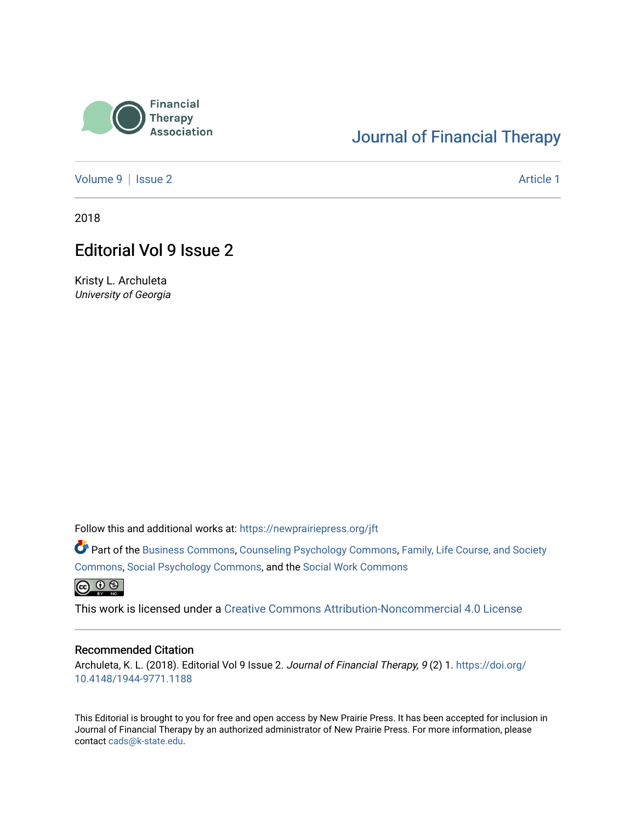

## [Journal of Financial Therapy](https://newprairiepress.org/jft)

[Volume 9](https://newprairiepress.org/jft/vol9) | [Issue 2](https://newprairiepress.org/jft/vol9/iss2) Article 1

2018

## Editorial Vol 9 Issue 2

Kristy L. Archuleta University of Georgia

Follow this and additional works at: [https://newprairiepress.org/jft](https://newprairiepress.org/jft?utm_source=newprairiepress.org%2Fjft%2Fvol9%2Fiss2%2F1&utm_medium=PDF&utm_campaign=PDFCoverPages)

Part of the [Business Commons](http://network.bepress.com/hgg/discipline/622?utm_source=newprairiepress.org%2Fjft%2Fvol9%2Fiss2%2F1&utm_medium=PDF&utm_campaign=PDFCoverPages), [Counseling Psychology Commons,](http://network.bepress.com/hgg/discipline/1044?utm_source=newprairiepress.org%2Fjft%2Fvol9%2Fiss2%2F1&utm_medium=PDF&utm_campaign=PDFCoverPages) [Family, Life Course, and Society](http://network.bepress.com/hgg/discipline/419?utm_source=newprairiepress.org%2Fjft%2Fvol9%2Fiss2%2F1&utm_medium=PDF&utm_campaign=PDFCoverPages)  [Commons](http://network.bepress.com/hgg/discipline/419?utm_source=newprairiepress.org%2Fjft%2Fvol9%2Fiss2%2F1&utm_medium=PDF&utm_campaign=PDFCoverPages), [Social Psychology Commons,](http://network.bepress.com/hgg/discipline/414?utm_source=newprairiepress.org%2Fjft%2Fvol9%2Fiss2%2F1&utm_medium=PDF&utm_campaign=PDFCoverPages) and the [Social Work Commons](http://network.bepress.com/hgg/discipline/713?utm_source=newprairiepress.org%2Fjft%2Fvol9%2Fiss2%2F1&utm_medium=PDF&utm_campaign=PDFCoverPages) 

 $\circledcirc$ 

This work is licensed under a [Creative Commons Attribution-Noncommercial 4.0 License](https://creativecommons.org/licenses/by-nc/4.0/)

#### Recommended Citation

Archuleta, K. L. (2018). Editorial Vol 9 Issue 2. Journal of Financial Therapy, 9 (2) 1. [https://doi.org/](https://doi.org/10.4148/1944-9771.1188) [10.4148/1944-9771.1188](https://doi.org/10.4148/1944-9771.1188)

This Editorial is brought to you for free and open access by New Prairie Press. It has been accepted for inclusion in Journal of Financial Therapy by an authorized administrator of New Prairie Press. For more information, please contact [cads@k-state.edu](mailto:cads@k-state.edu).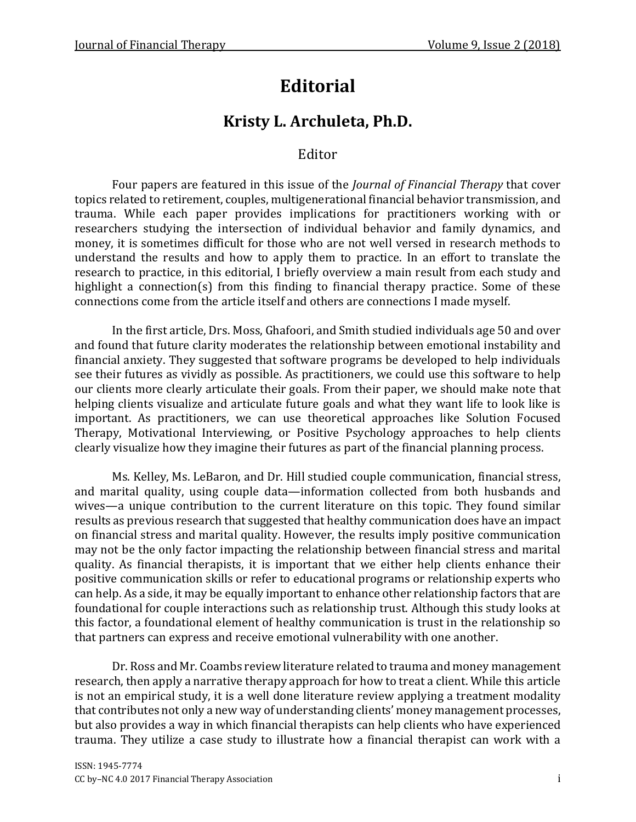# **Editorial**

## **Kristy L. Archuleta, Ph.D.**

### Editor

Four papers are featured in this issue of the *Journal of Financial Therapy* that cover topics related to retirement, couples, multigenerational financial behavior transmission, and trauma. While each paper provides implications for practitioners working with or researchers studying the intersection of individual behavior and family dynamics, and money, it is sometimes difficult for those who are not well versed in research methods to understand the results and how to apply them to practice. In an effort to translate the research to practice, in this editorial, I briefly overview a main result from each study and highlight a connection(s) from this finding to financial therapy practice. Some of these connections come from the article itself and others are connections I made myself.

In the first article, Drs. Moss, Ghafoori, and Smith studied individuals age 50 and over and found that future clarity moderates the relationship between emotional instability and financial anxiety. They suggested that software programs be developed to help individuals see their futures as vividly as possible. As practitioners, we could use this software to help our clients more clearly articulate their goals. From their paper, we should make note that helping clients visualize and articulate future goals and what they want life to look like is important. As practitioners, we can use theoretical approaches like Solution Focused Therapy, Motivational Interviewing, or Positive Psychology approaches to help clients clearly visualize how they imagine their futures as part of the financial planning process.

Ms. Kelley, Ms. LeBaron, and Dr. Hill studied couple communication, financial stress, and marital quality, using couple data—information collected from both husbands and wives—a unique contribution to the current literature on this topic. They found similar results as previous research that suggested that healthy communication does have an impact on financial stress and marital quality. However, the results imply positive communication may not be the only factor impacting the relationship between financial stress and marital quality. As financial therapists, it is important that we either help clients enhance their positive communication skills or refer to educational programs or relationship experts who can help. As a side, it may be equally important to enhance other relationship factors that are foundational for couple interactions such as relationship trust. Although this study looks at this factor, a foundational element of healthy communication is trust in the relationship so that partners can express and receive emotional vulnerability with one another.

Dr. Ross and Mr. Coambs review literature related to trauma and money management research, then apply a narrative therapy approach for how to treat a client. While this article is not an empirical study, it is a well done literature review applying a treatment modality that contributes not only a new way of understanding clients' money management processes, but also provides a way in which financial therapists can help clients who have experienced trauma. They utilize a case study to illustrate how a financial therapist can work with a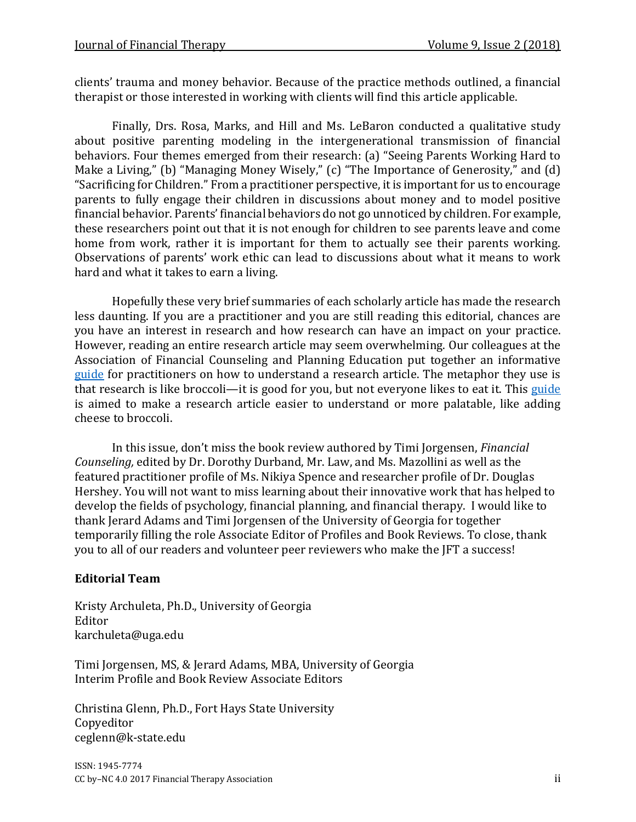clients' trauma and money behavior. Because of the practice methods outlined, a financial therapist or those interested in working with clients will find this article applicable.

Finally, Drs. Rosa, Marks, and Hill and Ms. LeBaron conducted a qualitative study about positive parenting modeling in the intergenerational transmission of financial behaviors. Four themes emerged from their research: (a) "Seeing Parents Working Hard to Make a Living," (b) "Managing Money Wisely," (c) "The Importance of Generosity," and (d) "Sacrificing for Children." From a practitioner perspective, it is important for us to encourage parents to fully engage their children in discussions about money and to model positive financial behavior. Parents' financial behaviors do not go unnoticed by children. For example, these researchers point out that it is not enough for children to see parents leave and come home from work, rather it is important for them to actually see their parents working. Observations of parents' work ethic can lead to discussions about what it means to work hard and what it takes to earn a living.

Hopefully these very brief summaries of each scholarly article has made the research less daunting. If you are a practitioner and you are still reading this editorial, chances are you have an interest in research and how research can have an impact on your practice. However, reading an entire research article may seem overwhelming. Our colleagues at the Association of Financial Counseling and Planning Education put together an informative [guide](http://www.afcpe.org/uploads/programs/BROCCOLI%20BANTER%20-%20HOW%20TO%20READ%20RESEARCH%20ARTICLES.pdf) for practitioners on how to understand a research article. The metaphor they use is that research is like broccoli—it is good for you, but not everyone likes to eat it. This [guide](http://www.afcpe.org/uploads/programs/BROCCOLI%20BANTER%20-%20HOW%20TO%20READ%20RESEARCH%20ARTICLES.pdf) is aimed to make a research article easier to understand or more palatable, like adding cheese to broccoli.

In this issue, don't miss the book review authored by Timi Jorgensen, *Financial Counseling,* edited by Dr. Dorothy Durband, Mr. Law, and Ms. Mazollini as well as the featured practitioner profile of Ms. Nikiya Spence and researcher profile of Dr. Douglas Hershey. You will not want to miss learning about their innovative work that has helped to develop the fields of psychology, financial planning, and financial therapy. I would like to thank Jerard Adams and Timi Jorgensen of the University of Georgia for together temporarily filling the role Associate Editor of Profiles and Book Reviews. To close, thank you to all of our readers and volunteer peer reviewers who make the JFT a success!

#### **Editorial Team**

Kristy Archuleta, Ph.D., University of Georgia Editor karchuleta@uga.edu

Timi Jorgensen, MS, & Jerard Adams, MBA, University of Georgia Interim Profile and Book Review Associate Editors

Christina Glenn, Ph.D., Fort Hays State University Copyeditor ceglenn@k-state.edu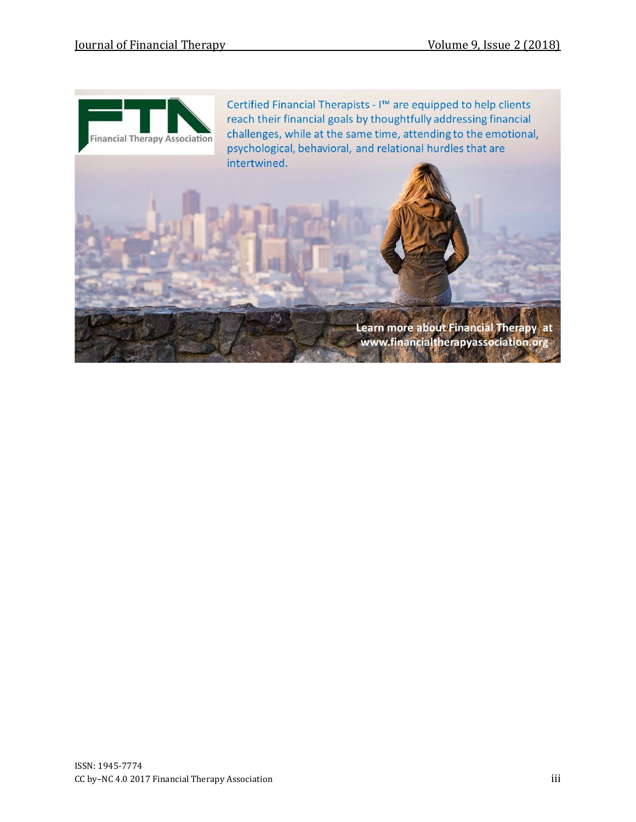

Certified Financial Therapists - I™ are equipped to help clients reach their financial goals by thoughtfully addressing financial challenges, while at the same time, attending to the emotional, psychological, behavioral, and relational hurdles that are intertwined.

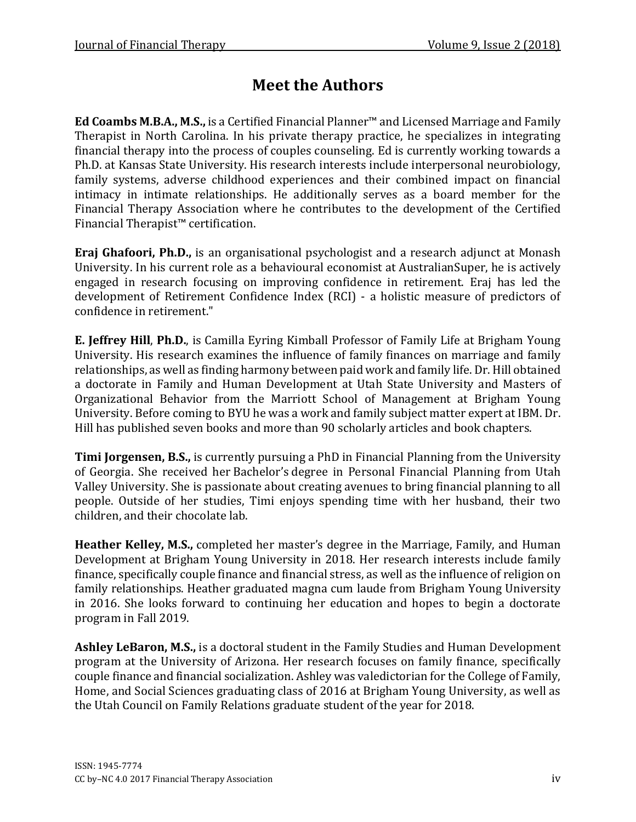## **Meet the Authors**

**Ed Coambs M.B.A., M.S.,** is a Certified Financial Planner™ and Licensed Marriage and Family Therapist in North Carolina. In his private therapy practice, he specializes in integrating financial therapy into the process of couples counseling. Ed is currently working towards a Ph.D. at Kansas State University. His research interests include interpersonal neurobiology, family systems, adverse childhood experiences and their combined impact on financial intimacy in intimate relationships. He additionally serves as a board member for the Financial Therapy Association where he contributes to the development of the Certified Financial Therapist™ certification.

**Eraj Ghafoori, Ph.D.,** is an organisational psychologist and a research adjunct at Monash University. In his current role as a behavioural economist at AustralianSuper, he is actively engaged in research focusing on improving confidence in retirement. Eraj has led the development of Retirement Confidence Index (RCI) - a holistic measure of predictors of confidence in retirement."

**E. Jeffrey Hill**, **Ph.D.**, is Camilla Eyring Kimball Professor of Family Life at Brigham Young University. His research examines the influence of family finances on marriage and family relationships, as well as finding harmony between paid work and family life. Dr. Hill obtained a doctorate in Family and Human Development at Utah State University and Masters of Organizational Behavior from the Marriott School of Management at Brigham Young University. Before coming to BYU he was a work and family subject matter expert at IBM. Dr. Hill has published seven books and more than 90 scholarly articles and book chapters.

**Timi Jorgensen, B.S.,** is currently pursuing a PhD in Financial Planning from the University of Georgia. She received her Bachelor's degree in Personal Financial Planning from Utah Valley University. She is passionate about creating avenues to bring financial planning to all people. Outside of her studies, Timi enjoys spending time with her husband, their two children, and their chocolate lab.

**Heather Kelley, M.S.,** completed her master's degree in the Marriage, Family, and Human Development at Brigham Young University in 2018. Her research interests include family finance, specifically couple finance and financial stress, as well as the influence of religion on family relationships. Heather graduated magna cum laude from Brigham Young University in 2016. She looks forward to continuing her education and hopes to begin a doctorate program in Fall 2019.

**Ashley LeBaron, M.S.,** is a doctoral student in the Family Studies and Human Development program at the University of Arizona. Her research focuses on family finance, specifically couple finance and financial socialization. Ashley was valedictorian for the College of Family, Home, and Social Sciences graduating class of 2016 at Brigham Young University, as well as the Utah Council on Family Relations graduate student of the year for 2018.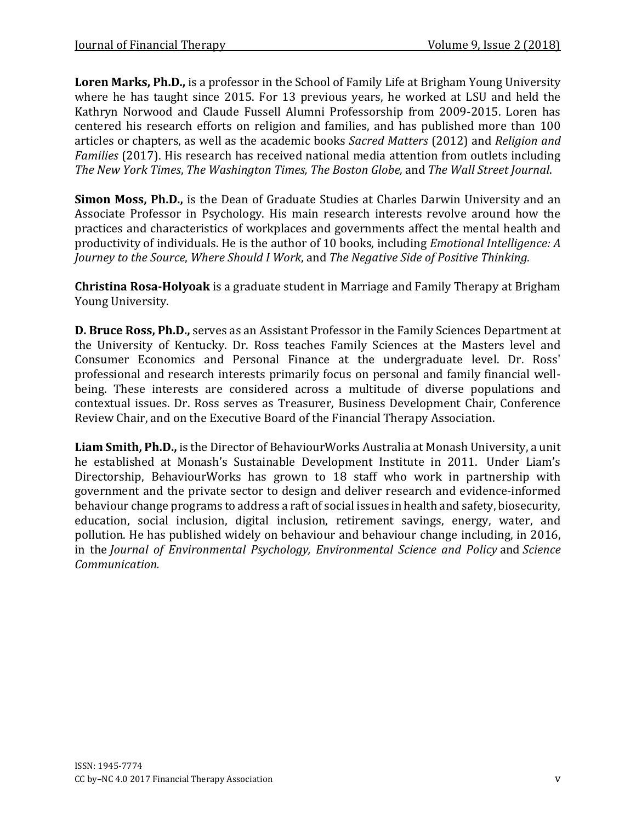**Loren Marks, Ph.D.,** is a professor in the School of Family Life at Brigham Young University where he has taught since 2015. For 13 previous years, he worked at LSU and held the Kathryn Norwood and Claude Fussell Alumni Professorship from 2009-2015. Loren has centered his research efforts on religion and families, and has published more than 100 articles or chapters, as well as the academic books *Sacred Matters* (2012) and *Religion and Families* (2017). His research has received national media attention from outlets including *The New York Times*, *The Washington Times, The Boston Globe,* and *The Wall Street Journal*.

**Simon Moss, Ph.D.,** is the Dean of Graduate Studies at Charles Darwin University and an Associate Professor in Psychology. His main research interests revolve around how the practices and characteristics of workplaces and governments affect the mental health and productivity of individuals. He is the author of 10 books, including *Emotional Intelligence: A Journey to the Source*, *Where Should I Work*, and *The Negative Side of Positive Thinking*.

**Christina Rosa-Holyoak** is a graduate student in Marriage and Family Therapy at Brigham Young University.

**D. Bruce Ross, Ph.D.,** serves as an Assistant Professor in the Family Sciences Department at the University of Kentucky. Dr. Ross teaches Family Sciences at the Masters level and Consumer Economics and Personal Finance at the undergraduate level. Dr. Ross' professional and research interests primarily focus on personal and family financial wellbeing. These interests are considered across a multitude of diverse populations and contextual issues. Dr. Ross serves as Treasurer, Business Development Chair, Conference Review Chair, and on the Executive Board of the Financial Therapy Association.

**Liam Smith, Ph.D.,** is the Director of BehaviourWorks Australia at Monash University, a unit he established at Monash's Sustainable Development Institute in 2011. Under Liam's Directorship, BehaviourWorks has grown to 18 staff who work in partnership with government and the private sector to design and deliver research and evidence-informed behaviour change programs to address a raft of social issues in health and safety, biosecurity, education, social inclusion, digital inclusion, retirement savings, energy, water, and pollution. He has published widely on behaviour and behaviour change including, in 2016, in the *Journal of Environmental Psychology, Environmental Science and Policy* and *Science Communication.*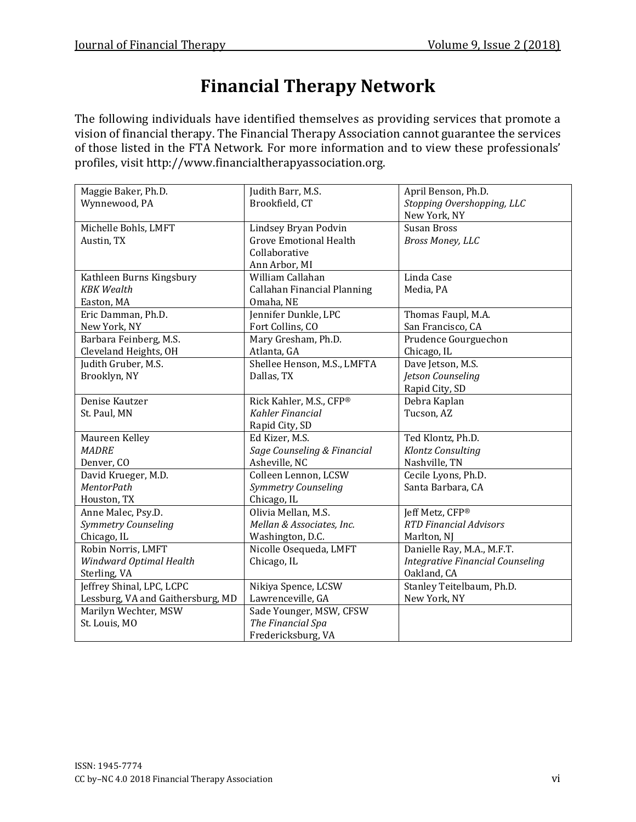# **Financial Therapy Network**

The following individuals have identified themselves as providing services that promote a vision of financial therapy. The Financial Therapy Association cannot guarantee the services of those listed in the FTA Network. For more information and to view these professionals' profiles, visit http://www.financialtherapyassociation.org.

| Maggie Baker, Ph.D.               | Judith Barr, M.S.             | April Benson, Ph.D.                     |
|-----------------------------------|-------------------------------|-----------------------------------------|
| Wynnewood, PA                     | Brookfield, CT                | Stopping Overshopping, LLC              |
|                                   |                               | New York, NY                            |
| Michelle Bohls, LMFT              | Lindsey Bryan Podvin          | <b>Susan Bross</b>                      |
| Austin, TX                        | <b>Grove Emotional Health</b> | Bross Money, LLC                        |
|                                   | Collaborative                 |                                         |
|                                   | Ann Arbor, MI                 |                                         |
| Kathleen Burns Kingsbury          | William Callahan              | Linda Case                              |
| <b>KBK</b> Wealth                 | Callahan Financial Planning   | Media, PA                               |
| Easton, MA                        | Omaha, NE                     |                                         |
| Eric Damman, Ph.D.                | Jennifer Dunkle, LPC          | Thomas Faupl, M.A.                      |
| New York, NY                      | Fort Collins, CO              | San Francisco, CA                       |
| Barbara Feinberg, M.S.            | Mary Gresham, Ph.D.           | Prudence Gourguechon                    |
| Cleveland Heights, OH             | Atlanta, GA                   | Chicago, IL                             |
| Judith Gruber, M.S.               | Shellee Henson, M.S., LMFTA   | Dave Jetson, M.S.                       |
| Brooklyn, NY                      | Dallas, TX                    | Jetson Counseling                       |
|                                   |                               | Rapid City, SD                          |
| Denise Kautzer                    | Rick Kahler, M.S., CFP®       | Debra Kaplan                            |
| St. Paul, MN                      | Kahler Financial              | Tucson, AZ                              |
|                                   | Rapid City, SD                |                                         |
| Maureen Kelley                    | Ed Kizer, M.S.                | Ted Klontz, Ph.D.                       |
| <b>MADRE</b>                      | Sage Counseling & Financial   | Klontz Consulting                       |
| Denver, CO                        | Asheville, NC                 | Nashville, TN                           |
| David Krueger, M.D.               | Colleen Lennon, LCSW          | Cecile Lyons, Ph.D.                     |
| <b>MentorPath</b>                 | Symmetry Counseling           | Santa Barbara, CA                       |
| Houston, TX                       | Chicago, IL                   |                                         |
| Anne Malec, Psy.D.                | Olivia Mellan, M.S.           | Jeff Metz, CFP®                         |
| Symmetry Counseling               | Mellan & Associates, Inc.     | <b>RTD Financial Advisors</b>           |
| Chicago, IL                       | Washington, D.C.              | Marlton, NJ                             |
| Robin Norris, LMFT                | Nicolle Osequeda, LMFT        | Danielle Ray, M.A., M.F.T.              |
| Windward Optimal Health           | Chicago, IL                   | <b>Integrative Financial Counseling</b> |
| Sterling, VA                      |                               | Oakland, CA                             |
| Jeffrey Shinal, LPC, LCPC         | Nikiya Spence, LCSW           | Stanley Teitelbaum, Ph.D.               |
| Lessburg, VA and Gaithersburg, MD | Lawrenceville, GA             | New York, NY                            |
| Marilyn Wechter, MSW              | Sade Younger, MSW, CFSW       |                                         |
| St. Louis, MO                     | The Financial Spa             |                                         |
|                                   | Fredericksburg, VA            |                                         |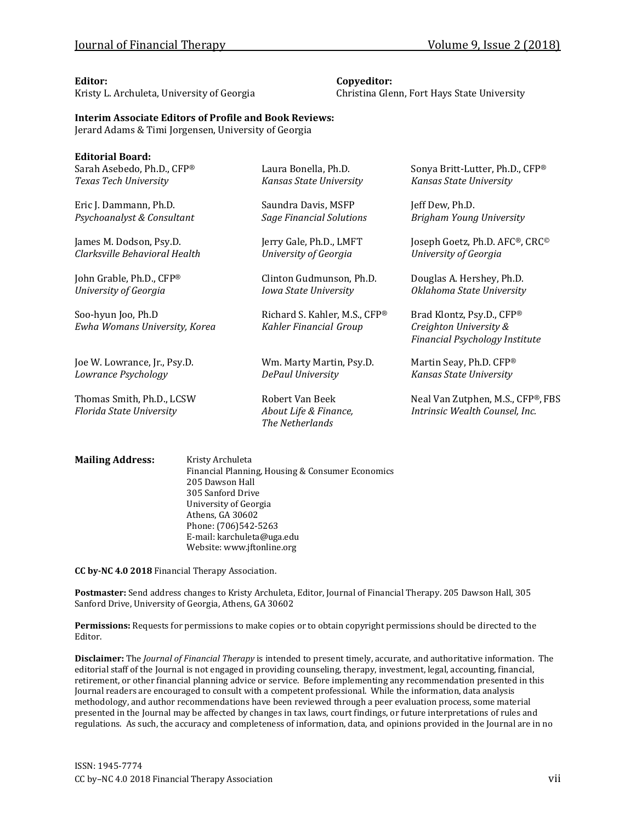Kristy L. Archuleta, University of Georgia Christina Glenn, Fort Hays State University

#### **Editor: Copyeditor:**

#### **Interim Associate Editors of Profile and Book Reviews:**

Jerard Adams & Timi Jorgensen, University of Georgia

| <b>Editorial Board:</b>       |                                          |                                   |
|-------------------------------|------------------------------------------|-----------------------------------|
| Sarah Asebedo, Ph.D., CFP®    | Laura Bonella, Ph.D.                     | Sonya Britt-Lutter, Ph.D., CFP®   |
| Texas Tech University         | Kansas State University                  | Kansas State University           |
| Eric J. Dammann, Ph.D.        | Saundra Davis, MSFP                      | Jeff Dew, Ph.D.                   |
| Psychoanalyst & Consultant    | <b>Sage Financial Solutions</b>          | Brigham Young University          |
| James M. Dodson, Psy.D.       | Jerry Gale, Ph.D., LMFT                  | Joseph Goetz, Ph.D. AFC®, CRC®    |
| Clarksville Behavioral Health | University of Georgia                    | University of Georgia             |
| John Grable, Ph.D., CFP®      | Clinton Gudmunson, Ph.D.                 | Douglas A. Hershey, Ph.D.         |
| University of Georgia         | Iowa State University                    | Oklahoma State University         |
| Soo-hyun Joo, Ph.D            | Richard S. Kahler, M.S., CFP®            | Brad Klontz, Psy.D., CFP®         |
| Ewha Womans University, Korea | Kahler Financial Group                   | Creighton University &            |
|                               |                                          | Financial Psychology Institute    |
| Joe W. Lowrance, Jr., Psy.D.  | Wm. Marty Martin, Psy.D.                 | Martin Seay, Ph.D. CFP®           |
| Lowrance Psychology           | DePaul University                        | Kansas State University           |
| Thomas Smith, Ph.D., LCSW     | Robert Van Beek                          | Neal Van Zutphen, M.S., CFP®, FBS |
| Florida State University      | About Life & Finance,<br>The Netherlands | Intrinsic Wealth Counsel, Inc.    |
|                               |                                          |                                   |
|                               |                                          |                                   |

**Mailing Address:** Kristy Archuleta Financial Planning, Housing & Consumer Economics 205 Dawson Hall 305 Sanford Drive University of Georgia Athens, GA 30602 Phone: (706)542-5263 E-mail: karchuleta@uga.edu Website: www.jftonline.org

**CC by-NC 4.0 2018** Financial Therapy Association.

**Postmaster:** Send address changes to Kristy Archuleta, Editor, Journal of Financial Therapy. 205 Dawson Hall, 305 Sanford Drive, University of Georgia, Athens, GA 30602

**Permissions:** Requests for permissions to make copies or to obtain copyright permissions should be directed to the Editor.

**Disclaimer:** The *Journal of Financial Therapy* is intended to present timely, accurate, and authoritative information. The editorial staff of the Journal is not engaged in providing counseling, therapy, investment, legal, accounting, financial, retirement, or other financial planning advice or service. Before implementing any recommendation presented in this Journal readers are encouraged to consult with a competent professional. While the information, data analysis methodology, and author recommendations have been reviewed through a peer evaluation process, some material presented in the Journal may be affected by changes in tax laws, court findings, or future interpretations of rules and regulations. As such, the accuracy and completeness of information, data, and opinions provided in the Journal are in no